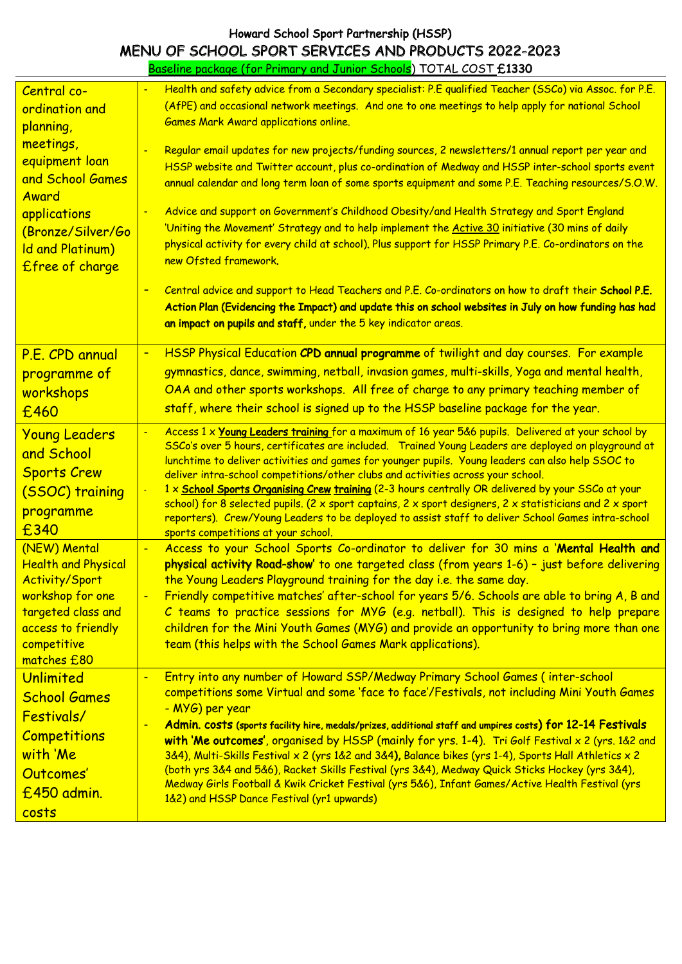## Howard School Sport Partnership (HSSP) MENU OF SCHOOL SPORT SERVICES AND PRODUCTS 2022-2023 Howard School Sport Partnership (HSSP) MENU OF SCHOOL SPORT SERVICES AND PRODUCTS 2022-2023

Baseline package (for Primary and Junior Schools) TOTAL COST £1330 Baseline package (for Primary and Junior Schools) TOTAL COST £1330

| Central co-<br>ordination and<br>planning,<br>meetings,<br>equipment loan<br>and School Games<br>Award<br>applications<br>(Bronze/Silver/Go<br>Id and Platinum)<br>£free of charge | Health and safety advice from a Secondary specialist: P.E qualified Teacher (SSCo) via Assoc. for P.E.<br>(AfPE) and occasional network meetings. And one to one meetings to help apply for national School<br><b>Games Mark Award applications online.</b><br>Regular email updates for new projects/funding sources, 2 newsletters/1 annual report per year and<br>HSSP website and Twitter account, plus co-ordination of Medway and HSSP inter-school sports event<br>annual calendar and long term loan of some sports equipment and some P.E. Teaching resources/S.O.W.<br>Advice and support on Government's Childhood Obesity/and Health Strategy and Sport England<br>'Uniting the Movement' Strategy and to help implement the Active 30 initiative (30 mins of daily<br>physical activity for every child at school). Plus support for HSSP Primary P.E. Co-ordinators on the<br>new Ofsted framework.<br>Central advice and support to Head Teachers and P.E. Co-ordinators on how to draft their School P.E.<br>Action Plan (Evidencing the Impact) and update this on school websites in July on how funding has had<br>an impact on pupils and staff, under the 5 key indicator areas. |
|------------------------------------------------------------------------------------------------------------------------------------------------------------------------------------|-------------------------------------------------------------------------------------------------------------------------------------------------------------------------------------------------------------------------------------------------------------------------------------------------------------------------------------------------------------------------------------------------------------------------------------------------------------------------------------------------------------------------------------------------------------------------------------------------------------------------------------------------------------------------------------------------------------------------------------------------------------------------------------------------------------------------------------------------------------------------------------------------------------------------------------------------------------------------------------------------------------------------------------------------------------------------------------------------------------------------------------------------------------------------------------------------------|
| P.E. CPD annual<br>programme of<br>workshops<br>£460                                                                                                                               | HSSP Physical Education CPD annual programme of twilight and day courses. For example<br>$\blacksquare$<br>gymnastics, dance, swimming, netball, invasion games, multi-skills, Yoga and mental health,<br>OAA and other sports workshops. All free of charge to any primary teaching member of<br>staff, where their school is signed up to the HSSP baseline package for the year.                                                                                                                                                                                                                                                                                                                                                                                                                                                                                                                                                                                                                                                                                                                                                                                                                   |
| <b>Young Leaders</b><br>and School<br><b>Sports Crew</b><br>(SSOC) training<br>programme<br>£340                                                                                   | Access 1 x Young Leaders training for a maximum of 16 year 5&6 pupils. Delivered at your school by<br>SSCo's over 5 hours, certificates are included. Trained Young Leaders are deployed on playground at<br>lunchtime to deliver activities and games for younger pupils. Young leaders can also help SSOC to<br>deliver intra-school competitions/other clubs and activities across your school.<br>1 x School Sports Organising Crew training (2-3 hours centrally OR delivered by your SSCo at your<br>school) for 8 selected pupils. (2 x sport captains, 2 x sport designers, 2 x statisticians and 2 x sport<br>reporters). Crew/Young Leaders to be deployed to assist staff to deliver School Games intra-school<br>sports competitions at your school.                                                                                                                                                                                                                                                                                                                                                                                                                                      |
| (NEW) Mental<br><b>Health and Physical</b><br><b>Activity/Sport</b><br>workshop for one<br>targeted class and<br>access to friendly<br>competitive<br>matches £80                  | Access to your School Sports Co-ordinator to deliver for 30 mins a 'Mental Health and<br>$\blacksquare$<br>physical activity Road-show' to one targeted class (from years 1-6) - just before delivering<br>the Young Leaders Playground training for the day i.e. the same day.<br>Friendly competitive matches' after-school for years 5/6. Schools are able to bring A, B and<br>C teams to practice sessions for MYG (e.g. netball). This is designed to help prepare<br>children for the Mini Youth Games (MYG) and provide an opportunity to bring more than one<br>team (this helps with the School Games Mark applications).                                                                                                                                                                                                                                                                                                                                                                                                                                                                                                                                                                   |
| Unlimited<br><b>School Games</b><br>Festivals/<br><b>Competitions</b><br>with 'Me<br>Outcomes'<br>£450 admin.<br>costs                                                             | Entry into any number of Howard SSP/Medway Primary School Games (inter-school<br>$\blacksquare$<br>competitions some Virtual and some 'face to face'/Festivals, not including Mini Youth Games<br>- MYG) per year<br>Admin. costs (sports facility hire, medals/prizes, additional staff and umpires costs) for 12-14 Festivals<br>with 'Me outcomes', organised by HSSP (mainly for yrs. 1-4). Tri Golf Festival x 2 (yrs. 1&2 and<br>3&4), Multi-Skills Festival x 2 (yrs 1&2 and 3&4), Balance bikes (yrs 1-4), Sports Hall Athletics x 2<br>(both yrs 3&4 and 5&6), Racket Skills Festival (yrs 3&4), Medway Quick Sticks Hockey (yrs 3&4),<br>Medway Girls Football & Kwik Cricket Festival (yrs 5&6), Infant Games/Active Health Festival (yrs<br>1&2) and HSSP Dance Festival (yr1 upwards)                                                                                                                                                                                                                                                                                                                                                                                                    |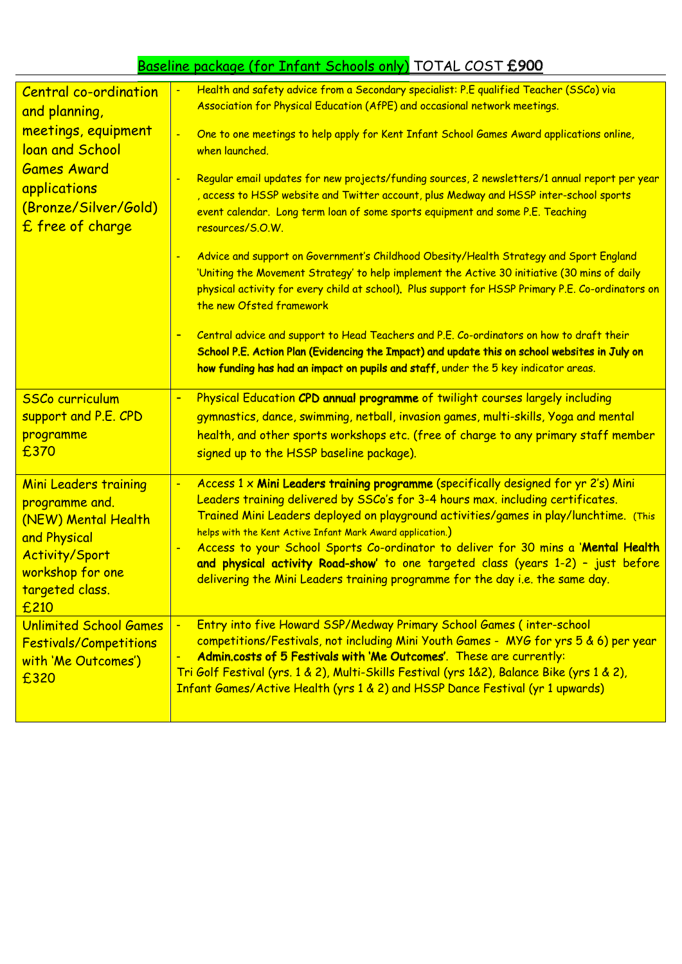## Baseline package (for Infant Schools only) TOTAL COST £900 Baseline package (for Infant Schools only) TOTAL COST £900

| <b>Central co-ordination</b><br>and planning,<br>meetings, equipment<br>loan and School<br><b>Games Award</b><br>applications<br>(Bronze/Silver/Gold)<br>£ free of charge | Health and safety advice from a Secondary specialist: P.E qualified Teacher (SSCo) via<br>Association for Physical Education (AfPE) and occasional network meetings.<br>One to one meetings to help apply for Kent Infant School Games Award applications online,<br>$\blacksquare$<br>when launched.<br>Regular email updates for new projects/funding sources, 2 newsletters/1 annual report per year<br>, access to HSSP website and Twitter account, plus Medway and HSSP inter-school sports<br>event calendar. Long term loan of some sports equipment and some P.E. Teaching<br>resources/S.O.W.<br>Advice and support on Government's Childhood Obesity/Health Strategy and Sport England<br>'Uniting the Movement Strategy' to help implement the Active 30 initiative (30 mins of daily<br>physical activity for every child at school). Plus support for HSSP Primary P.E. Co-ordinators on<br>the new Ofsted framework |
|---------------------------------------------------------------------------------------------------------------------------------------------------------------------------|------------------------------------------------------------------------------------------------------------------------------------------------------------------------------------------------------------------------------------------------------------------------------------------------------------------------------------------------------------------------------------------------------------------------------------------------------------------------------------------------------------------------------------------------------------------------------------------------------------------------------------------------------------------------------------------------------------------------------------------------------------------------------------------------------------------------------------------------------------------------------------------------------------------------------------|
|                                                                                                                                                                           | Central advice and support to Head Teachers and P.E. Co-ordinators on how to draft their<br>School P.E. Action Plan (Evidencing the Impact) and update this on school websites in July on<br>how funding has had an impact on pupils and staff, under the 5 key indicator areas.                                                                                                                                                                                                                                                                                                                                                                                                                                                                                                                                                                                                                                                   |
| <b>SSCo curriculum</b><br>support and P.E. CPD<br>programme<br>£370                                                                                                       | Physical Education CPD annual programme of twilight courses largely including<br>$\blacksquare$<br>gymnastics, dance, swimming, netball, invasion games, multi-skills, Yoga and mental<br>health, and other sports workshops etc. (free of charge to any primary staff member<br>signed up to the HSSP baseline package).                                                                                                                                                                                                                                                                                                                                                                                                                                                                                                                                                                                                          |
| <b>Mini Leaders training</b><br>programme and.<br>(NEW) Mental Health<br>and Physical<br><b>Activity/Sport</b><br>workshop for one<br>targeted class.<br>£210             | Access 1 x Mini Leaders training programme (specifically designed for yr 2's) Mini<br>$\blacksquare$<br>Leaders training delivered by SSCo's for 3-4 hours max. including certificates.<br>Trained Mini Leaders deployed on playground activities/games in play/lunchtime. (This<br>helps with the Kent Active Infant Mark Award application.)<br>Access to your School Sports Co-ordinator to deliver for 30 mins a 'Mental Health<br>and physical activity Road-show' to one targeted class (years 1-2) - just before<br>delivering the Mini Leaders training programme for the day i.e. the same day.                                                                                                                                                                                                                                                                                                                           |
| <b>Unlimited School Games</b><br><b>Festivals/Competitions</b><br>with 'Me Outcomes')<br>£320                                                                             | Entry into five Howard SSP/Medway Primary School Games (inter-school<br>$\blacksquare$<br>competitions/Festivals, not including Mini Youth Games - MYG for yrs 5 & 6) per year<br>Admin.costs of 5 Festivals with 'Me Outcomes'. These are currently:<br>Tri Golf Festival (yrs. 1 & 2), Multi-Skills Festival (yrs 1&2), Balance Bike (yrs 1 & 2),<br>Infant Games/Active Health (yrs 1 & 2) and HSSP Dance Festival (yr 1 upwards)                                                                                                                                                                                                                                                                                                                                                                                                                                                                                               |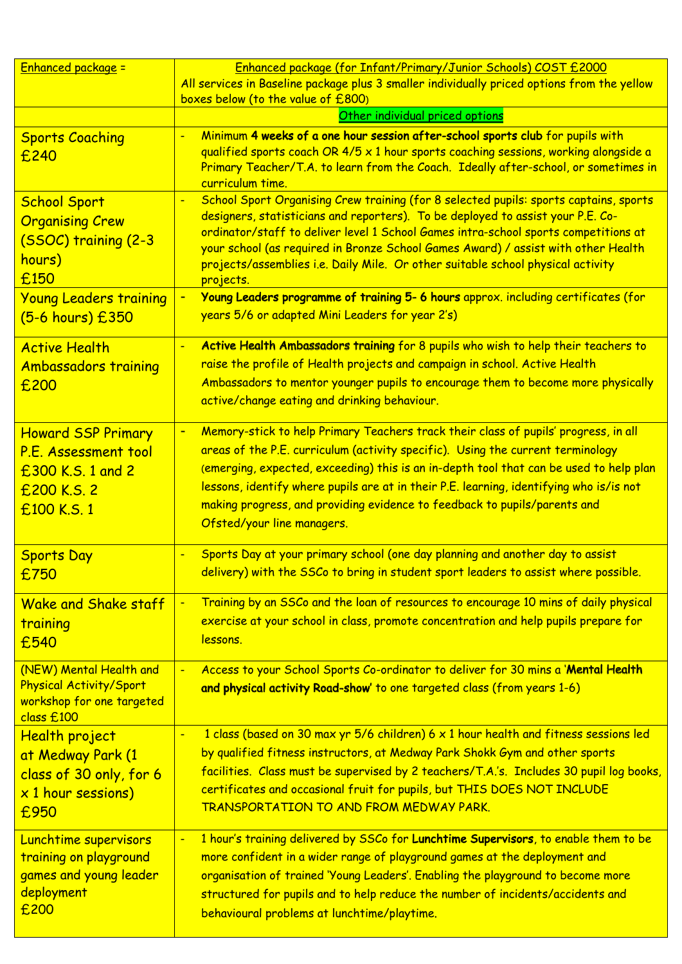| <b>Enhanced package =</b>                                                                                                | Enhanced package (for Infant/Primary/Junior Schools) COST £2000                                                                                                                                                                                                                                                                                                                                                                                                                                                                            |
|--------------------------------------------------------------------------------------------------------------------------|--------------------------------------------------------------------------------------------------------------------------------------------------------------------------------------------------------------------------------------------------------------------------------------------------------------------------------------------------------------------------------------------------------------------------------------------------------------------------------------------------------------------------------------------|
|                                                                                                                          | All services in Baseline package plus 3 smaller individually priced options from the yellow<br>boxes below (to the value of £800)                                                                                                                                                                                                                                                                                                                                                                                                          |
|                                                                                                                          | Other individual priced options                                                                                                                                                                                                                                                                                                                                                                                                                                                                                                            |
| <b>Sports Coaching</b><br>£240                                                                                           | Minimum 4 weeks of a one hour session after-school sports club for pupils with<br>qualified sports coach OR 4/5 x 1 hour sports coaching sessions, working alongside a<br>Primary Teacher/T.A. to learn from the Coach. Ideally after-school, or sometimes in<br>curriculum time.                                                                                                                                                                                                                                                          |
| <b>School Sport</b><br><b>Organising Crew</b><br>(SSOC) training (2-3<br>hours)<br>£150<br><b>Young Leaders training</b> | School Sport Organising Crew training (for 8 selected pupils: sports captains, sports<br>designers, statisticians and reporters). To be deployed to assist your P.E. Co-<br>ordinator/staff to deliver level 1 School Games intra-school sports competitions at<br>your school (as required in Bronze School Games Award) / assist with other Health<br>projects/assemblies i.e. Daily Mile. Or other suitable school physical activity<br>projects.<br>Young Leaders programme of training 5- 6 hours approx. including certificates (for |
| (5-6 hours) £350                                                                                                         | years 5/6 or adapted Mini Leaders for year 2's)                                                                                                                                                                                                                                                                                                                                                                                                                                                                                            |
| <b>Active Health</b><br><b>Ambassadors training</b><br>£200                                                              | Active Health Ambassadors training for 8 pupils who wish to help their teachers to<br>raise the profile of Health projects and campaign in school. Active Health<br>Ambassadors to mentor younger pupils to encourage them to become more physically<br>active/change eating and drinking behaviour.                                                                                                                                                                                                                                       |
| <b>Howard SSP Primary</b><br>P.E. Assessment tool<br>£300 K.S. 1 and 2<br>£200 K.S. 2<br>£100 K.S. 1                     | Memory-stick to help Primary Teachers track their class of pupils' progress, in all<br>٠<br>areas of the P.E. curriculum (activity specific). Using the current terminology<br>(emerging, expected, exceeding) this is an in-depth tool that can be used to help plan<br>lessons, identify where pupils are at in their P.E. learning, identifying who is/is not<br>making progress, and providing evidence to feedback to pupils/parents and<br>Ofsted/your line managers.                                                                |
| <b>Sports Day</b><br>£750                                                                                                | Sports Day at your primary school (one day planning and another day to assist<br>delivery) with the SSCo to bring in student sport leaders to assist where possible.                                                                                                                                                                                                                                                                                                                                                                       |
| <b>Wake and Shake staff</b><br>training<br>£540                                                                          | Training by an SSCo and the loan of resources to encourage 10 mins of daily physical<br>exercise at your school in class, promote concentration and help pupils prepare for<br>lessons.                                                                                                                                                                                                                                                                                                                                                    |
| (NEW) Mental Health and<br>Physical Activity/Sport<br>workshop for one targeted<br>class £100                            | Access to your School Sports Co-ordinator to deliver for 30 mins a 'Mental Health<br>and physical activity Road-show' to one targeted class (from years 1-6)                                                                                                                                                                                                                                                                                                                                                                               |
| <b>Health project</b><br>at Medway Park (1<br>class of 30 only, for 6<br>x 1 hour sessions)<br>£950                      | 1 class (based on 30 max yr 5/6 children) 6 x 1 hour health and fitness sessions led<br>by qualified fitness instructors, at Medway Park Shokk Gym and other sports<br>facilities. Class must be supervised by 2 teachers/T.A.'s. Includes 30 pupil log books,<br>certificates and occasional fruit for pupils, but THIS DOES NOT INCLUDE<br>TRANSPORTATION TO AND FROM MEDWAY PARK.                                                                                                                                                       |
| Lunchtime supervisors<br>training on playground<br>games and young leader<br>deployment<br>£200                          | 1 hour's training delivered by SSCo for Lunchtime Supervisors, to enable them to be<br>more confident in a wider range of playground games at the deployment and<br>organisation of trained 'Young Leaders'. Enabling the playground to become more<br>structured for pupils and to help reduce the number of incidents/accidents and<br>behavioural problems at lunchtime/playtime.                                                                                                                                                       |